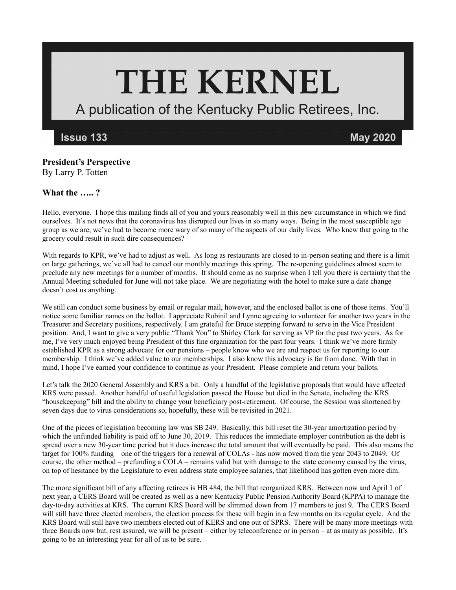## **THE KERNEL**

A publication of the Kentucky Public Retirees, Inc.

**Issue 133** 

**May 2020** 

## **President's Perspective** By Larry P. Totten

## **What the ….. ?**

Hello, everyone. I hope this mailing finds all of you and yours reasonably well in this new circumstance in which we find ourselves. It's not news that the coronavirus has disrupted our lives in so many ways. Being in the most susceptible age group as we are, we've had to become more wary of so many of the aspects of our daily lives. Who knew that going to the grocery could result in such dire consequences?

With regards to KPR, we've had to adjust as well. As long as restaurants are closed to in-person seating and there is a limit on large gatherings, we've all had to cancel our monthly meetings this spring. The re-opening guidelines almost seem to preclude any new meetings for a number of months. It should come as no surprise when I tell you there is certainty that the Annual Meeting scheduled for June will not take place. We are negotiating with the hotel to make sure a date change doesn't cost us anything.

We still can conduct some business by email or regular mail, however, and the enclosed ballot is one of those items. You'll notice some familiar names on the ballot. I appreciate Robinil and Lynne agreeing to volunteer for another two years in the Treasurer and Secretary positions, respectively. I am grateful for Bruce stepping forward to serve in the Vice President position. And, I want to give a very public "Thank You" to Shirley Clark for serving as VP for the past two years. As for me, I've very much enjoyed being President of this fine organization for the past four years. I think we've more firmly established KPR as a strong advocate for our pensions – people know who we are and respect us for reporting to our membership. I think we've added value to our memberships. I also know this advocacy is far from done. With that in mind, I hope I've earned your confidence to continue as your President. Please complete and return your ballots.

Let's talk the 2020 General Assembly and KRS a bit. Only a handful of the legislative proposals that would have affected KRS were passed. Another handful of useful legislation passed the House but died in the Senate, including the KRS "housekeeping" bill and the ability to change your beneficiary post-retirement. Of course, the Session was shortened by seven days due to virus considerations so, hopefully, these will be revisited in 2021.

One of the pieces of legislation becoming law was SB 249. Basically, this bill reset the 30-year amortization period by which the unfunded liability is paid off to June 30, 2019. This reduces the immediate employer contribution as the debt is spread over a new 30-year time period but it does increase the total amount that will eventually be paid. This also means the target for 100% funding – one of the triggers for a renewal of COLAs - has now moved from the year 2043 to 2049. Of course, the other method – prefunding a COLA – remains valid but with damage to the state economy caused by the virus, on top of hesitance by the Legislature to even address state employee salaries, that likelihood has gotten even more dim.

The more significant bill of any affecting retirees is HB 484, the bill that reorganized KRS. Between now and April 1 of next year, a CERS Board will be created as well as a new Kentucky Public Pension Authority Board (KPPA) to manage the day-to-day activities at KRS. The current KRS Board will be slimmed down from 17 members to just 9. The CERS Board will still have three elected members, the election process for these will begin in a few months on its regular cycle. And the KRS Board will still have two members elected out of KERS and one out of SPRS. There will be many more meetings with three Boards now but, rest assured, we will be present – either by teleconference or in person – at as many as possible. It's going to be an interesting year for all of us to be sure.